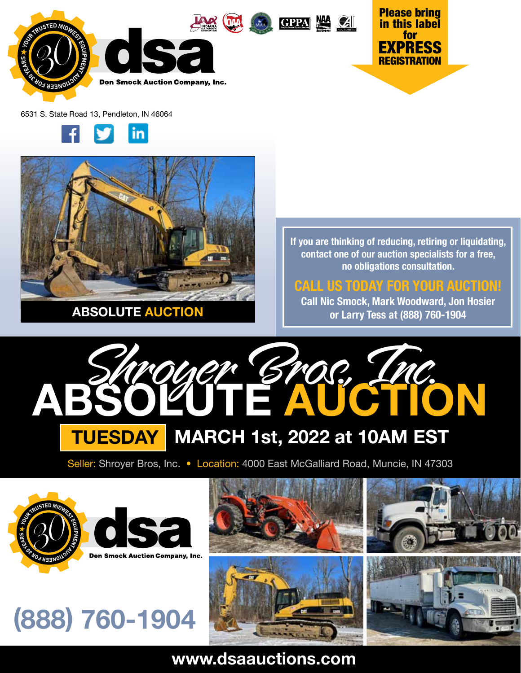

6531 S. State Road 13, Pendleton, IN 46064





**If you are thinking of reducing, retiring or liquidating, contact one of our auction specialists for a free, no obligations consultation.**

## **CALL US TODAY FOR YOUR AUCTION!**

**Call Nic Smock, Mark Woodward, Jon Hosier**<br>**ABSOLUTE AUCTION or Larry Tess at (888) 760-1904** 



Seller: Shroyer Bros, Inc. • Location: 4000 East McGalliard Road, Muncie, IN 47303











# **www.dsaauctions.com**